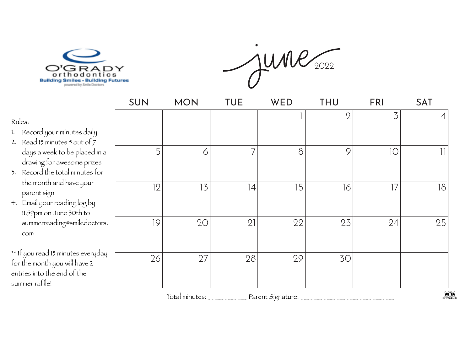

 $june_{2022}$ 

|                                                                                                                                   | <b>SUN</b> | <b>MON</b>     | TUE            | WED                                  | THU            | <b>FRI</b> | <b>SAT</b>               |
|-----------------------------------------------------------------------------------------------------------------------------------|------------|----------------|----------------|--------------------------------------|----------------|------------|--------------------------|
| Rules:<br>1. Record your minutes daily                                                                                            |            |                |                |                                      | $\overline{2}$ | 3          | 4                        |
| 2. Read 15 minutes 5 out of $7$<br>days a week to be placed in a<br>drawing for awesome prizes<br>3. Record the total minutes for | 5          | 6              | $\overline{7}$ | 8                                    | 9              | 10         | $\overline{\phantom{a}}$ |
| the month and have your<br>parent sign<br>4. Email your reading log by<br>11:59pm on June 30th to                                 | 12         | 13             | 4              | 15                                   | 16             | 17         | 18                       |
| summerreading@smiledoctors.<br>com                                                                                                | 19         | 20             | 21             | 22                                   | 23             | 24         | 25                       |
| ** If you read 15 minutes everyday<br>for the month you will have 2<br>entries into the end of the<br>summer raffle!              | 26         | 27             | 28             | 29                                   | 30             |            |                          |
|                                                                                                                                   |            | Total minutes: |                | Parent Signature: __________________ |                |            | 900                      |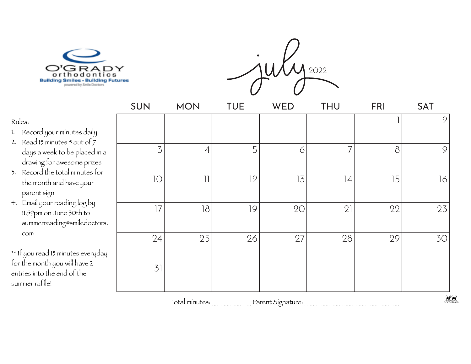



|                                  | SUN | <b>MON</b>               | <b>TUE</b> | WED | <b>THU</b> | <b>FRI</b> | <b>SAT</b>     |
|----------------------------------|-----|--------------------------|------------|-----|------------|------------|----------------|
| ÿ                                |     |                          |            |     |            |            | $\overline{2}$ |
| l ín a<br>zes<br>$f_{\text{Or}}$ | 3   | $\overline{4}$           | 5          | 6   | 7          | 8          | 9              |
|                                  | 10  | $\overline{\mathcal{L}}$ | 12         | 13  | 4          | 15         | 16             |
| tors.                            | 17  | 18                       | 9          | 20  | 21         | 22         | 23             |
| yday                             | 24  | 25                       | 26         | 27  | 28         | 29         | 30             |
|                                  | 31  |                          |            |     |            |            |                |

Total minutes: \_\_\_\_\_\_\_\_\_\_\_\_ Parent Signature: \_\_\_\_\_\_\_\_\_\_\_\_\_\_\_\_\_\_\_\_\_\_\_\_\_\_\_\_\_\_\_\_\_\_

## Rules:

- 1. Record your minutes daily
- 2. Read 15 minutes 5 out of  $\tilde{z}$ days a week to be placed drawing for awesome priz
- 3. Record the total minutes the month and have your parent sign
- 4. Email your reading log by 11:59pm on June 30th to summerreading@smiledoc com

\*\* If you read 15 minutes every for the month you will have 2 entries into the end of the summer raffle!

WW